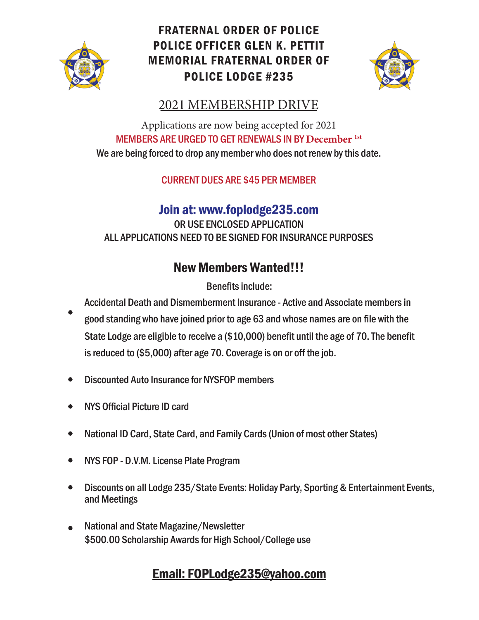

## FRATERNAL ORDER OF POLICE POLICE OFFICER GLEN K. PETTIT MEMORIAL FRATERNAL ORDER OF POLICE LODGE #235



## 2021 MEMBERSHIP DRIVE

Applications are now being accepted for 2021 MEMBERS ARE URGED TO GET RENEWALS IN BY **December 1st** We are being forced to drop any member who does not renew by this date.

CURRENT DUES ARE \$45 PER MEMBER

## Join at: www.foplodge235.com

OR USE ENCLOSED APPLICATION ALL APPLICATIONS NEED TO BE SIGNED FOR INSURANCE PURPOSES

# New Members Wanted!!!

Benefits include:

Accidental Death and Dismemberment Insurance - Active and Associate members in good standing who have joined prior to age 63 and whose names are on file with the State Lodge are eligible to receive a (\$10,000) benefit until the age of 70. The benefit is reduced to (\$5,000) after age 70. Coverage is on or off the job.

- Discounted Auto Insurance for NYSFOP members
- NYS Official Picture ID card
- National ID Card, State Card, and Family Cards (Union of most other States)
- NYS FOP D.V.M. License Plate Program
- Discounts on all Lodge 235/State Events: Holiday Party, Sporting & Entertainment Events,  $\bullet$ and Meetings
- National and State Magazine/Newsletter \$500.00 Scholarship Awards for High School/College use

## Email: FOPLodge235@yahoo.com